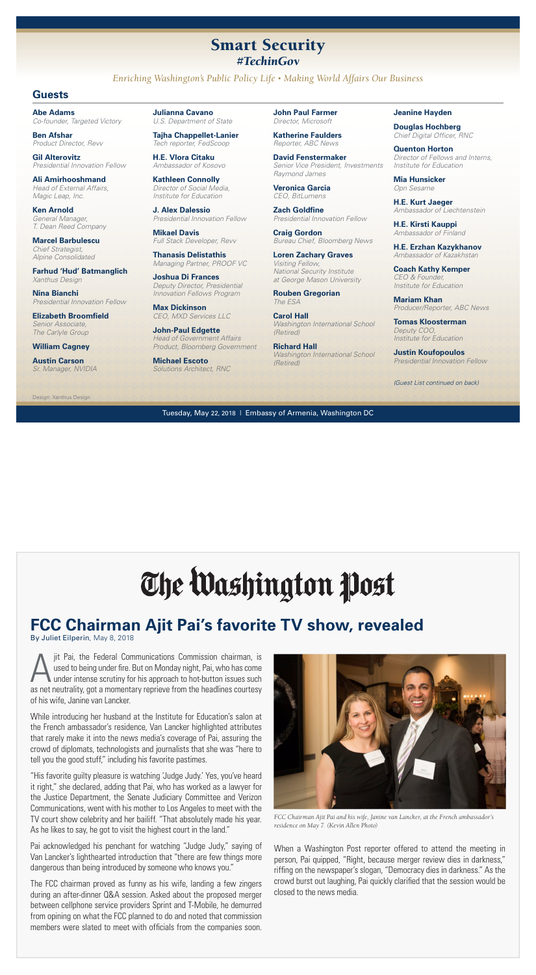## Smart Security *#TechinGov*

### *Enriching Washington's Public Policy Life • Making World Affairs Our Business*

## **Guests**

**Abe Adams**  *Co-founder, Targeted Victory*

**Ben Afshar**  *Product Director, Revv* **Gil Alterovitz** 

*Presidential Innovation Fellow* **Ali Amirhooshmand**  *Head of External Affairs,* 

*Magic Leap, Inc.*  **Ken Arnold**  *General Manager, T. Dean Reed Company*

**Marcel Barbulescu**  *Chief Strategist, Alpine Consolidated*

**Farhud 'Hud' Batmanglich**  *Xanthus Design*

**Nina Bianchi**  *Presidential Innovation Fellow*

**Elizabeth Broomfield**  *Senior Associate, The Carlyle Group*

### **William Cagney Austin Carson**

*Sr. Manager, NVIDIA*

Design: Xanthus Design

#### **Julianna Cavano**  *U.S. Department of State*

**Tajha Chappellet-Lanier** 

*Tech reporter, FedScoop* **H.E. Vlora Citaku**  *Ambassador of Kosovo*

**Kathleen Connolly**  *Director of Social Media, Institute for Education*

**J. Alex Dalessio**  *Presidential Innovation Fellow*

**Mikael Davis**  *Full Stack Developer, Revv*

**Thanasis Delistathis**  *Managing Partner, PROOF VC* **Joshua Di Frances** 

*Deputy Director, Presidential Innovation Fellows Program*

**Max Dickinson**  *CEO, MXD Services LLC*

**John-Paul Edgette**  *Head of Government Affairs Product, Bloomberg Government*

*Solutions Architect, RNC*

**John Paul Farmer**  *Director, Microsoft*

**Katherine Faulders**  *Reporter, ABC News* 

**David Fenstermaker**  *Senior Vice President, Investments Raymond James*

**Veronica Garcia**  *CEO, BitLumens* 

**Zach Goldfine**  *Presidential Innovation Fellow*

**Craig Gordon**  *Bureau Chief, Bloomberg News*

**Loren Zachary Graves**  *Visiting Fellow, National Security Institute at George Mason University*

**Rouben Gregorian**  *The ESA*

**Carol Hall**  *Washington International School (Retired)*

**Richard Hall**  *Washington International School (Retired)*

**Jeanine Hayden** 

**Douglas Hochberg**  *Chief Digital Officer, RNC*

**Quenton Horton**  *Director of Fellows and Interns, Institute for Education*

**Mia Hunsicker**  *Opn Sesame*

**H.E. Kurt Jaeger**  *Ambassador of Liechtenstein*

**H.E. Kirsti Kauppi**  *Ambassador of Finland*

**H.E. Erzhan Kazykhanov**  *Ambassador of Kazakhstan*

**Coach Kathy Kemper**  *CEO & Founder, Institute for Education*

**Mariam Khan**  *Producer/Reporter, ABC News*

**Tomas Kloosterman**  *Deputy CO Institute for Education*

**Justin Koufopoulos**  *Presidential Innovation Fellow*

*(Guest List continued on back)*

Tuesday, May 22, 2018 | Embassy of Armenia, Washington DC

# The Washington Post

## **FCC Chairman Ajit Pai's favorite TV show, revealed**

By Juliet Eilperin, May 8, 2018

jit Pai, the Federal Communications Commission chairman, is<br>used to being under fire. But on Monday night, Pai, who has come<br>under intense scrutiny for his approach to hot-button issues such<br>as not particulate as magnetic used to being under fire. But on Monday night, Pai, who has come under intense scrutiny for his approach to hot-button issues such as net neutrality, got a momentary reprieve from the headlines courtesy of his wife, Janine van Lancker.

While introducing her husband at the Institute for Education's salon at the French ambassador's residence, Van Lancker highlighted attributes that rarely make it into the news media's coverage of Pai, assuring the crowd of diplomats, technologists and journalists that she was "here to tell you the good stuff," including his favorite pastimes.

"His favorite guilty pleasure is watching 'Judge Judy.' Yes, you've heard it right," she declared, adding that Pai, who has worked as a lawyer for the Justice Department, the Senate Judiciary Committee and Verizon Communications, went with his mother to Los Angeles to meet with the TV court show celebrity and her bailiff. "That absolutely made his year. As he likes to say, he got to visit the highest court in the land."

Pai acknowledged his penchant for watching "Judge Judy," saying of Van Lancker's lighthearted introduction that "there are few things more dangerous than being introduced by someone who knows you."

The FCC chairman proved as funny as his wife, landing a few zingers during an after-dinner Q&A session. Asked about the proposed merger between cellphone service providers Sprint and T-Mobile, he demurred from opining on what the FCC planned to do and noted that commission members were slated to meet with officials from the companies soon.



*FCC Chairman Ajit Pai and his wife, Janine van Lancker, at the French ambassador's residence on May 7. (Kevin Allen Photo)*

When a Washington Post reporter offered to attend the meeting in person, Pai quipped, "Right, because merger review dies in darkness," riffing on the newspaper's slogan, "Democracy dies in darkness." As the crowd burst out laughing, Pai quickly clarified that the session would be closed to the news media.

**Michael Escoto**